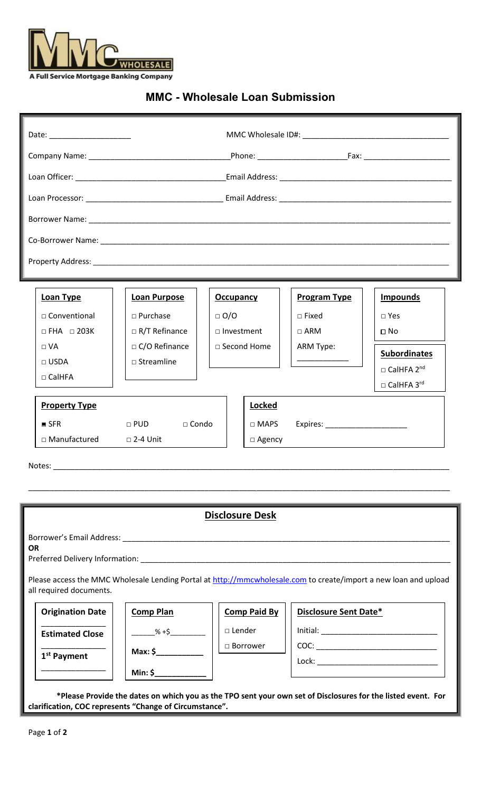

## **MMC - Wholesale Loan Submission**

| <b>Loan Type</b>       | <b>Loan Purpose</b>        | <b>Occupancy</b>  | <b>Program Type</b>                                                                                                                                                                                                           | <b>Impounds</b>               |
|------------------------|----------------------------|-------------------|-------------------------------------------------------------------------------------------------------------------------------------------------------------------------------------------------------------------------------|-------------------------------|
| $\Box$ Conventional    | $\Box$ Purchase            | $\Box$ O/O        | $\Box$ Fixed                                                                                                                                                                                                                  | $\sqcap$ Yes                  |
| $\Box$ FHA $\Box$ 203K | $\Box$ R/T Refinance       | $\Box$ Investment | $\sqcap$ ARM                                                                                                                                                                                                                  | □ No                          |
| $\Box$ VA              | $\Box$ C/O Refinance       | □ Second Home     | ARM Type:                                                                                                                                                                                                                     | <b>Subordinates</b>           |
| $\sqcap$ USDA          | $\square$ Streamline       |                   |                                                                                                                                                                                                                               | $\Box$ CalHFA 2 <sup>nd</sup> |
| $\sqcap$ CalHFA        |                            |                   |                                                                                                                                                                                                                               | $\Box$ CalHFA 3 <sup>rd</sup> |
| <b>Property Type</b>   |                            | <b>Locked</b>     |                                                                                                                                                                                                                               |                               |
| SFR                    | $\Box$ PUD<br>$\Box$ Condo | $\Box$ MAPS       | Expires: North Contract Contract Contract Contract Contract Contract Contract Contract Contract Contract Contract Contract Contract Contract Contract Contract Contract Contract Contract Contract Contract Contract Contract |                               |
| □ Manufactured         | $\square$ 2-4 Unit         | $\Box$ Agency     |                                                                                                                                                                                                                               |                               |
|                        |                            |                   |                                                                                                                                                                                                                               |                               |

| <b>Disclosure Desk</b>                                                                                                                      |                           |                     |                                                                                                              |  |  |  |
|---------------------------------------------------------------------------------------------------------------------------------------------|---------------------------|---------------------|--------------------------------------------------------------------------------------------------------------|--|--|--|
| Borrower's Email Address: National Accounts and Address and Accounts and Accounts are also belief to the Unit<br>OR.                        |                           |                     |                                                                                                              |  |  |  |
| Please access the MMC Wholesale Lending Portal at http://mmcwholesale.com to create/import a new loan and upload<br>all required documents. |                           |                     |                                                                                                              |  |  |  |
| <b>Origination Date</b>                                                                                                                     | <b>Comp Plan</b>          | <b>Comp Paid By</b> | Disclosure Sent Date*                                                                                        |  |  |  |
| <b>Estimated Close</b>                                                                                                                      | $\frac{\% + \$}{\% + \$}$ | $\Box$ Lender       |                                                                                                              |  |  |  |
| 1 <sup>st</sup> Payment                                                                                                                     |                           | $\Box$ Borrower     |                                                                                                              |  |  |  |
|                                                                                                                                             | $Min:$ \$                 |                     |                                                                                                              |  |  |  |
| clarification, COC represents "Change of Circumstance".                                                                                     |                           |                     | *Please Provide the dates on which you as the TPO sent your own set of Disclosures for the listed event. For |  |  |  |

\_\_\_\_\_\_\_\_\_\_\_\_\_\_\_\_\_\_\_\_\_\_\_\_\_\_\_\_\_\_\_\_\_\_\_\_\_\_\_\_\_\_\_\_\_\_\_\_\_\_\_\_\_\_\_\_\_\_\_\_\_\_\_\_\_\_\_\_\_\_\_\_\_\_\_\_\_\_\_\_\_\_\_\_\_\_\_\_\_\_\_\_\_\_\_\_\_\_